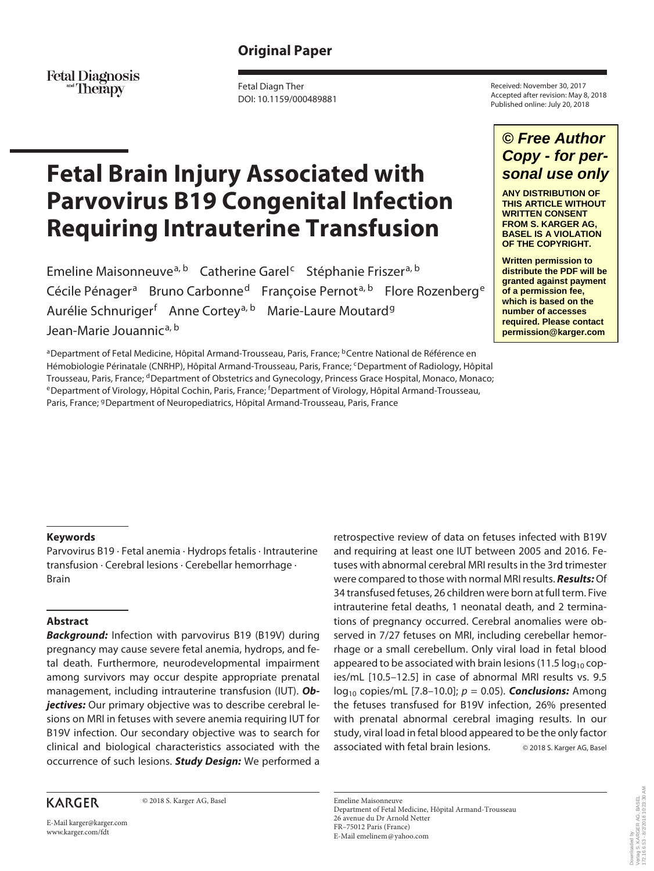## **Original Paper**

Fetal Diagnosis<br>Therapy

Fetal Diagn Ther DOI: 10.1159/000489881

# **Fetal Brain Injury Associated with Parvovirus B19 Congenital Infection Requiring Intrauterine Transfusion**

Emeline Maisonneuve<sup>a, b</sup> Catherine Garel<sup>c</sup> Stéphanie Friszer<sup>a, b</sup> Cécile Pénager<sup>a</sup> Bruno Carbonne<sup>d</sup> Françoise Pernot<sup>a, b</sup> Flore Rozenberg<sup>e</sup> Aurélie Schnuriger<sup>f</sup> Anne Cortey<sup>a, b</sup> Marie-Laure Moutard<sup>g</sup> Jean-Marie Jouannic<sup>a, b</sup>

<sup>a</sup>Department of Fetal Medicine, Hôpital Armand-Trousseau, Paris, France; <sup>b</sup>Centre National de Référence en Hémobiologie Périnatale (CNRHP), Hôpital Armand-Trousseau, Paris, France; cDepartment of Radiology, Hôpital Trousseau, Paris, France; <sup>d</sup>Department of Obstetrics and Gynecology, Princess Grace Hospital, Monaco, Monaco; <sup>e</sup> Department of Virology, Hôpital Cochin, Paris, France; <sup>f</sup> Department of Virology, Hôpital Armand-Trousseau, Paris, France; <sup>g</sup>Department of Neuropediatrics, Hôpital Armand-Trousseau, Paris, France

Received: November 30, 2017 Accepted after revision: May 8, 2018 Published online: July 20, 2018

# *© Free Author Copy - for personal use only*

**ANY DISTRIBUTION OF THIS ARTICLE WITHOUT WRITTEN CONSENT FROM S. KARGER AG, BASEL IS A VIOLATION OF THE COPYRIGHT.**

**Written permission to distribute the PDF will be granted against payment of a permission fee, which is based on the number of accesses required. Please contact permission@karger.com**

#### **Keywords**

Parvovirus B19 · Fetal anemia · Hydrops fetalis · Intrauterine transfusion · Cerebral lesions · Cerebellar hemorrhage · Brain

#### **Abstract**

**Background:** Infection with parvovirus B19 (B19V) during pregnancy may cause severe fetal anemia, hydrops, and fetal death. Furthermore, neurodevelopmental impairment among survivors may occur despite appropriate prenatal management, including intrauterine transfusion (IUT). *Objectives:* Our primary objective was to describe cerebral lesions on MRI in fetuses with severe anemia requiring IUT for B19V infection. Our secondary objective was to search for clinical and biological characteristics associated with the occurrence of such lesions. *Study Design:* We performed a

### **KARGER**

© 2018 S. Karger AG, Basel

E-Mail karger@karger.com www.karger.com/fdt

retrospective review of data on fetuses infected with B19V and requiring at least one IUT between 2005 and 2016. Fetuses with abnormal cerebral MRI results in the 3rd trimester were compared to those with normal MRI results. *Results:* Of 34 transfused fetuses, 26 children were born at full term. Five intrauterine fetal deaths, 1 neonatal death, and 2 terminations of pregnancy occurred. Cerebral anomalies were observed in 7/27 fetuses on MRI, including cerebellar hemorrhage or a small cerebellum. Only viral load in fetal blood appeared to be associated with brain lesions (11.5  $log_{10}$  copies/mL [10.5–12.5] in case of abnormal MRI results vs. 9.5 log10 copies/mL [7.8–10.0]; *p* = 0.05). *Conclusions:* Among the fetuses transfused for B19V infection, 26% presented with prenatal abnormal cerebral imaging results. In our study, viral load in fetal blood appeared to be the only factor associated with fetal brain lesions. © 2018 S. Karger AG, Basel

Emeline Maisonneuve Department of Fetal Medicine, Hôpital Armand-Trousseau 26 avenue du Dr Arnold Netter FR–75012 Paris (France) E-Mail emelinem@yahoo.com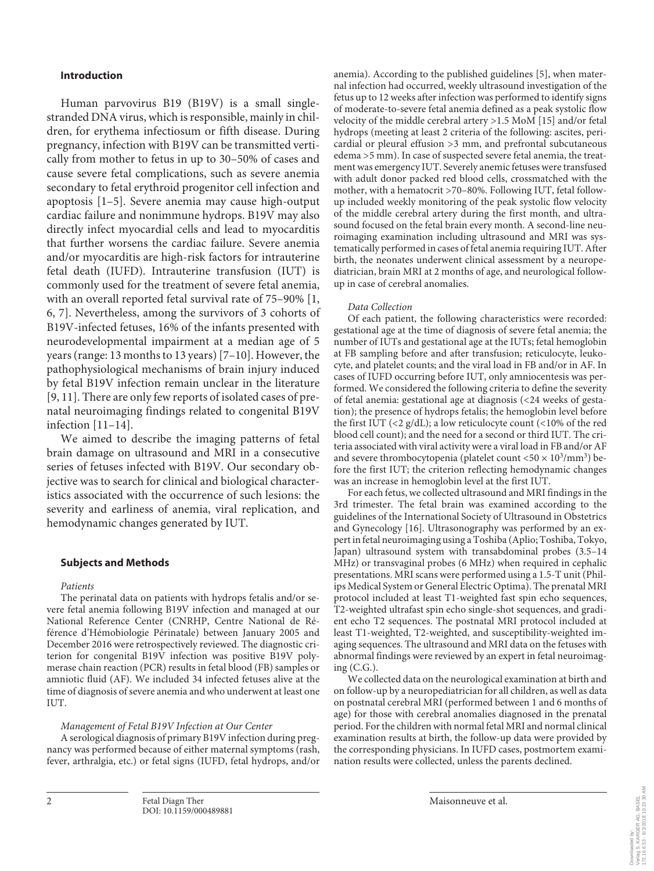#### **Introduction**

Human parvovirus B19 (B19V) is a small singlestranded DNA virus, which is responsible, mainly in children, for erythema infectiosum or fifth disease. During pregnancy, infection with B19V can be transmitted vertically from mother to fetus in up to 30–50% of cases and cause severe fetal complications, such as severe anemia secondary to fetal erythroid progenitor cell infection and apoptosis [1–5]. Severe anemia may cause high-output cardiac failure and nonimmune hydrops. B19V may also directly infect myocardial cells and lead to myocarditis that further worsens the cardiac failure. Severe anemia and/or myocarditis are high-risk factors for intrauterine fetal death (IUFD). Intrauterine transfusion (IUT) is commonly used for the treatment of severe fetal anemia, with an overall reported fetal survival rate of 75–90% [1, 6, 7]. Nevertheless, among the survivors of 3 cohorts of B19V-infected fetuses, 16% of the infants presented with neurodevelopmental impairment at a median age of 5 years (range: 13 months to 13 years) [7–10]. However, the pathophysiological mechanisms of brain injury induced by fetal B19V infection remain unclear in the literature [9, 11]. There are only few reports of isolated cases of prenatal neuroimaging findings related to congenital B19V infection [11–14].

We aimed to describe the imaging patterns of fetal brain damage on ultrasound and MRI in a consecutive series of fetuses infected with B19V. Our secondary objective was to search for clinical and biological characteristics associated with the occurrence of such lesions: the severity and earliness of anemia, viral replication, and hemodynamic changes generated by IUT.

#### **Subjects and Methods**

#### *Patients*

The perinatal data on patients with hydrops fetalis and/or severe fetal anemia following B19V infection and managed at our National Reference Center (CNRHP, Centre National de Référence d'Hémobiologie Périnatale) between January 2005 and December 2016 were retrospectively reviewed. The diagnostic criterion for congenital B19V infection was positive B19V polymerase chain reaction (PCR) results in fetal blood (FB) samples or amniotic fluid (AF). We included 34 infected fetuses alive at the time of diagnosis of severe anemia and who underwent at least one IUT.

#### *Management of Fetal B19V Infection at Our Center*

A serological diagnosis of primary B19V infection during pregnancy was performed because of either maternal symptoms (rash, fever, arthralgia, etc.) or fetal signs (IUFD, fetal hydrops, and/or anemia). According to the published guidelines [5], when maternal infection had occurred, weekly ultrasound investigation of the fetus up to 12 weeks after infection was performed to identify signs of moderate-to-severe fetal anemia defined as a peak systolic flow velocity of the middle cerebral artery >1.5 MoM [15] and/or fetal hydrops (meeting at least 2 criteria of the following: ascites, pericardial or pleural effusion >3 mm, and prefrontal subcutaneous edema >5 mm). In case of suspected severe fetal anemia, the treatment was emergency IUT. Severely anemic fetuses were transfused with adult donor packed red blood cells, crossmatched with the mother, with a hematocrit >70–80%. Following IUT, fetal followup included weekly monitoring of the peak systolic flow velocity of the middle cerebral artery during the first month, and ultrasound focused on the fetal brain every month. A second-line neuroimaging examination including ultrasound and MRI was systematically performed in cases of fetal anemia requiring IUT. After birth, the neonates underwent clinical assessment by a neuropediatrician, brain MRI at 2 months of age, and neurological followup in case of cerebral anomalies.

#### *Data Collection*

Of each patient, the following characteristics were recorded: gestational age at the time of diagnosis of severe fetal anemia; the number of IUTs and gestational age at the IUTs; fetal hemoglobin at FB sampling before and after transfusion; reticulocyte, leukocyte, and platelet counts; and the viral load in FB and/or in AF. In cases of IUFD occurring before IUT, only amniocentesis was performed. We considered the following criteria to define the severity of fetal anemia: gestational age at diagnosis (<24 weeks of gestation); the presence of hydrops fetalis; the hemoglobin level before the first IUT  $\left( \langle 2 \frac{g}{dL} \rangle \right)$ ; a low reticulocyte count  $\left( \langle 10 \rangle \right)$  of the red blood cell count); and the need for a second or third IUT. The criteria associated with viral activity were a viral load in FB and/or AF and severe thrombocytopenia (platelet count <50  $\times$  10<sup>3</sup>/mm<sup>3</sup>) before the first IUT; the criterion reflecting hemodynamic changes was an increase in hemoglobin level at the first IUT.

For each fetus, we collected ultrasound and MRI findings in the 3rd trimester. The fetal brain was examined according to the guidelines of the International Society of Ultrasound in Obstetrics and Gynecology [16]. Ultrasonography was performed by an expert in fetal neuroimaging using a Toshiba (Aplio; Toshiba, Tokyo, Japan) ultrasound system with transabdominal probes (3.5–14 MHz) or transvaginal probes (6 MHz) when required in cephalic presentations. MRI scans were performed using a 1.5-T unit (Philips Medical System or General Electric Optima). The prenatal MRI protocol included at least T1-weighted fast spin echo sequences, T2-weighted ultrafast spin echo single-shot sequences, and gradient echo T2 sequences. The postnatal MRI protocol included at least T1-weighted, T2-weighted, and susceptibility-weighted imaging sequences. The ultrasound and MRI data on the fetuses with abnormal findings were reviewed by an expert in fetal neuroimaging (C.G.).

We collected data on the neurological examination at birth and on follow-up by a neuropediatrician for all children, as well as data on postnatal cerebral MRI (performed between 1 and 6 months of age) for those with cerebral anomalies diagnosed in the prenatal period. For the children with normal fetal MRI and normal clinical examination results at birth, the follow-up data were provided by the corresponding physicians. In IUFD cases, postmortem examination results were collected, unless the parents declined.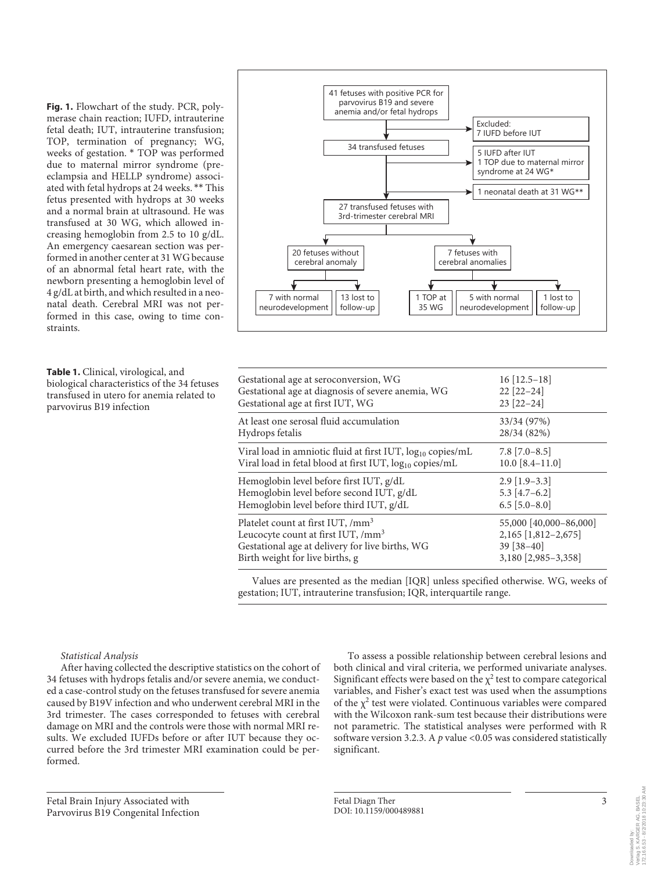**Fig. 1.** Flowchart of the study. PCR, polymerase chain reaction; IUFD, intrauterine fetal death; IUT, intrauterine transfusion; TOP, termination of pregnancy; WG, weeks of gestation. \* TOP was performed due to maternal mirror syndrome (preeclampsia and HELLP syndrome) associated with fetal hydrops at 24 weeks. \*\* This fetus presented with hydrops at 30 weeks and a normal brain at ultrasound. He was transfused at 30 WG, which allowed increasing hemoglobin from 2.5 to 10 g/dL. An emergency caesarean section was performed in another center at 31 WG because of an abnormal fetal heart rate, with the newborn presenting a hemoglobin level of 4 g/dL at birth, and which resulted in a neonatal death. Cerebral MRI was not performed in this case, owing to time constraints.

**Table 1.** Clinical, virological, and biological characteristics of the 34 fetuses transfused in utero for anemia related to parvovirus B19 infection

#### *Statistical Analysis*

After having collected the descriptive statistics on the cohort of 34 fetuses with hydrops fetalis and/or severe anemia, we conducted a case-control study on the fetuses transfused for severe anemia caused by B19V infection and who underwent cerebral MRI in the 3rd trimester. The cases corresponded to fetuses with cerebral damage on MRI and the controls were those with normal MRI results. We excluded IUFDs before or after IUT because they occurred before the 3rd trimester MRI examination could be performed.

Fetal Brain Injury Associated with Parvovirus B19 Congenital Infection



| $16$ [12.5-18]<br>$22$ [22-24]<br>$23$ [22-24]                                           |
|------------------------------------------------------------------------------------------|
| 33/34 (97%)<br>28/34 (82%)                                                               |
| $7.8$ [ $7.0-8.5$ ]<br>$10.0$ [8.4-11.0]                                                 |
| $2.9$ [1.9–3.3]<br>$5.3$ [4.7-6.2]<br>$6.5$ [5.0-8.0]                                    |
| 55,000 [40,000-86,000]<br>2,165 [1,812-2,675]<br>$39$ [ $38-40$ ]<br>3,180 [2,985-3,358] |
|                                                                                          |

Values are presented as the median [IQR] unless specified otherwise. WG, weeks of gestation; IUT, intrauterine transfusion; IQR, interquartile range.

> To assess a possible relationship between cerebral lesions and both clinical and viral criteria, we performed univariate analyses. Significant effects were based on the  $\chi^2$  test to compare categorical variables, and Fisher's exact test was used when the assumptions of the  $\chi^2$  test were violated. Continuous variables were compared with the Wilcoxon rank-sum test because their distributions were not parametric. The statistical analyses were performed with R software version 3.2.3. A *p* value <0.05 was considered statistically significant.

172.16.6.53 - 8/2/2018 10:23:30 AM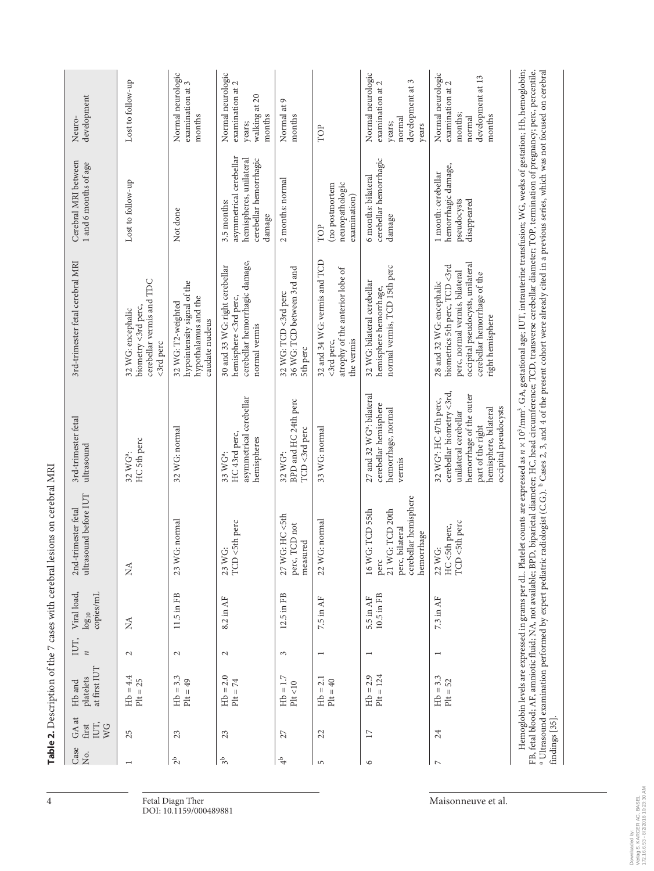| Case<br>Χó.         | GA at<br>IUT,<br>first<br>WG | at first IUT<br>platelets<br>Hb and | IUT,<br>$\boldsymbol{\pi}$ | Viral load,<br>copies/mL<br>$log_{10}$                            | ultrasound before IUT<br>2nd-trimester fetal                                                             | 3rd-trimester fetal<br>ultrasound                                                                                                                                                          | 3rd-trimester fetal cerebral MRI                                                                                                                                                                                                                                                                                                                                                                                                                                                                                                                                               | Cerebral MRI between<br>1 and 6 months of age                                                         | development<br>Neuro-                                                                     |
|---------------------|------------------------------|-------------------------------------|----------------------------|-------------------------------------------------------------------|----------------------------------------------------------------------------------------------------------|--------------------------------------------------------------------------------------------------------------------------------------------------------------------------------------------|--------------------------------------------------------------------------------------------------------------------------------------------------------------------------------------------------------------------------------------------------------------------------------------------------------------------------------------------------------------------------------------------------------------------------------------------------------------------------------------------------------------------------------------------------------------------------------|-------------------------------------------------------------------------------------------------------|-------------------------------------------------------------------------------------------|
|                     | 25                           | $Hb = 4.4$<br>$P1t = 25$            | $\mathbf{C}$               | Ź                                                                 | Ź                                                                                                        | HC 5th perc<br>32 WG <sup>a</sup> :                                                                                                                                                        | cerebellar vermis and TDC<br>biometry <3rd perc,<br>32 WG: encephalic<br><3rd perc                                                                                                                                                                                                                                                                                                                                                                                                                                                                                             | Lost to follow-up                                                                                     | Lost to follow-up                                                                         |
| $2b$                | 23                           | $Hb = 3.3$<br>$P1t = 49$            | $\sim$                     | 11.5 in FB                                                        | G: normal<br>23 W                                                                                        | 32 WG: normal                                                                                                                                                                              | hypointensity signal of the<br>hypothalamus and the<br>32 WG: T2-weighted<br>caudate nucleus                                                                                                                                                                                                                                                                                                                                                                                                                                                                                   | Not done                                                                                              | Normal neurologic<br>examination at 3<br>months                                           |
| 3 <sup>b</sup>      | 23                           | $Hb = 2.0$<br>$P1t = 74$            | $\mathbf{\Omega}$          | 8.2 in AF                                                         | <5th perc<br>Ö<br>23 W <sub>0</sub><br>TCD                                                               | asymmetrical cerebellar<br>HC43rd perc,<br>hemispheres<br>33 WG <sup>a</sup> :                                                                                                             | cerebellar hemorrhagic damage,<br>30 and 33 WG: right cerebellar<br>hemisphere <3rd perc,<br>normal vermis                                                                                                                                                                                                                                                                                                                                                                                                                                                                     | asymmetrical cerebellar<br>hemispheres, unilateral<br>cerebellar hemorrhagic<br>3.5 months:<br>damage | Normal neurologic<br>examination at 2<br>walking at 20<br>months<br>years;                |
| $\ddot{\mathrm{e}}$ | 27                           | $Hb = 1.7$<br>$\mathrm{Plt} <\!10$  | 3                          | 12.5 in FB                                                        | G: HC <5th<br>TCD not<br>measured<br>27 W<br>perc,                                                       | BPD and HC 24th perc<br>TCD <3rd perc<br>32 WG <sup>a</sup> :                                                                                                                              | 36 WG: TCD between 3rd and<br>32 WG: TCD <3rd perc<br>5th perc                                                                                                                                                                                                                                                                                                                                                                                                                                                                                                                 | 2 months: normal                                                                                      | Normal at 9<br>months                                                                     |
| $\overline{5}$      | 22                           | $Hb = 2.1$<br>$P1t = 40$            | $\overline{ }$             | 7.5 in $AF$                                                       | G: normal<br>$22$ W                                                                                      | 33 WG: normal                                                                                                                                                                              | 32 and 34 WG: vermis and TCD<br>atrophy of the anterior lobe of<br>the vermis<br><3rd perc,                                                                                                                                                                                                                                                                                                                                                                                                                                                                                    | neuropathologic<br>(no postmortem<br>examination)<br>TOP                                              | TOP                                                                                       |
| $\circ$             | $\overline{17}$              | $Hb = 2.9$<br>$P1t = 124$           | $\overline{ }$             | 10.5 in FB<br>5.5 in AF                                           | cerebellar hemisphere<br>G: TCD 55th<br>21 WG: TCD 20th<br>perc, bilateral<br>hemorrhage<br>16 W<br>perc | 27 and 32 WG <sup>a</sup> : bilateral<br>cerebellar hemisphere<br>hemorrhage, normal<br>vermis                                                                                             | normal vermis, TCD 15th perc<br>32 WG: bilateral cerebellar<br>hemisphere hemorrhage,                                                                                                                                                                                                                                                                                                                                                                                                                                                                                          | cerebellar hemorrhagic<br>6 months: bilateral<br>damage                                               | Normal neurologic<br>development at 3<br>examination at 2<br>normal<br>years;<br>years    |
| $\triangleright$    | 24                           | $Hb = 3.3$<br>$P1t = 52$            | $\overline{ }$             | 7.3 in AF                                                         | TCD <5th perc<br>HC <5th perc,<br>Ö<br>$22$ W                                                            | cerebellar biometry <3rd,<br>hemorrhage of the outer<br>32 WG <sup>a</sup> : HC 47th perc,<br>occipital pseudocysts<br>hemisphere, bilateral<br>unilateral cerebellar<br>part of the right | occipital pseudocysts, unilateral<br>biometrics 5th perc, TCD <3rd<br>perc, normal vermis, bilateral<br>cerebellar hemorrhage of the<br>28 and 32 WG: encephalic<br>right hemisphere                                                                                                                                                                                                                                                                                                                                                                                           | hemorrhagic damage,<br>1 month: cerebellar<br>pseudocysts<br>disappeared                              | Normal neurologic<br>development at 13<br>examination at 2<br>months;<br>months<br>normal |
|                     | findings [35].               |                                     |                            | <sup>a</sup> Ultrasound examination performed by expert pediatric |                                                                                                          |                                                                                                                                                                                            | Hemoglobin levels are expressed in grams per dL. Platelet counts are expressed as n × 10 <sup>3</sup> /mm <sup>3</sup> . GA, gestational age; IUT, intrauterine transfusion; WG, weeks of gestation; Hb, hemoglobin;<br>radiologist (C.G.). <sup>b</sup> Cases 2, 3, and 4 of the present cohort were already cited in a previous series, which was not focused on cerebral<br>FB, fetal blood; AF, amniotic fluid; NA, not available; BPD, biparietal diameter; HC, head circumference; TCD, transverse cerebellar diameter; TOP, termination of pregnancy; perc, percentile. |                                                                                                       |                                                                                           |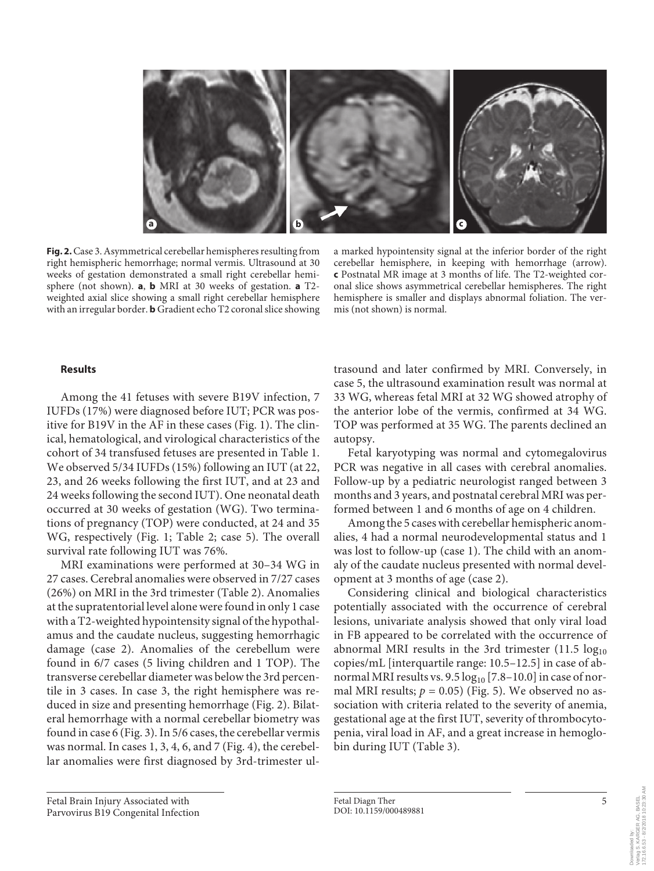

**Fig. 2.** Case 3. Asymmetrical cerebellar hemispheres resulting from right hemispheric hemorrhage; normal vermis. Ultrasound at 30 weeks of gestation demonstrated a small right cerebellar hemisphere (not shown). **a**, **b** MRI at 30 weeks of gestation. **a** T2 weighted axial slice showing a small right cerebellar hemisphere with an irregular border. **b** Gradient echo T2 coronal slice showing

a marked hypointensity signal at the inferior border of the right cerebellar hemisphere, in keeping with hemorrhage (arrow). **c** Postnatal MR image at 3 months of life. The T2-weighted coronal slice shows asymmetrical cerebellar hemispheres. The right hemisphere is smaller and displays abnormal foliation. The vermis (not shown) is normal.

#### **Results**

Among the 41 fetuses with severe B19V infection, 7 IUFDs (17%) were diagnosed before IUT; PCR was positive for B19V in the AF in these cases (Fig. 1). The clinical, hematological, and virological characteristics of the cohort of 34 transfused fetuses are presented in Table 1. We observed 5/34 IUFDs (15%) following an IUT (at 22, 23, and 26 weeks following the first IUT, and at 23 and 24 weeks following the second IUT). One neonatal death occurred at 30 weeks of gestation (WG). Two terminations of pregnancy (TOP) were conducted, at 24 and 35 WG, respectively (Fig. 1; Table 2; case 5). The overall survival rate following IUT was 76%.

MRI examinations were performed at 30–34 WG in 27 cases. Cerebral anomalies were observed in 7/27 cases (26%) on MRI in the 3rd trimester (Table 2). Anomalies at the supratentorial level alone were found in only 1 case with a T2-weighted hypointensity signal of the hypothalamus and the caudate nucleus, suggesting hemorrhagic damage (case 2). Anomalies of the cerebellum were found in 6/7 cases (5 living children and 1 TOP). The transverse cerebellar diameter was below the 3rd percentile in 3 cases. In case 3, the right hemisphere was reduced in size and presenting hemorrhage (Fig. 2). Bilateral hemorrhage with a normal cerebellar biometry was found in case 6 (Fig. 3). In 5/6 cases, the cerebellar vermis was normal. In cases 1, 3, 4, 6, and 7 (Fig. 4), the cerebellar anomalies were first diagnosed by 3rd-trimester ul-

Fetal Brain Injury Associated with Parvovirus B19 Congenital Infection trasound and later confirmed by MRI. Conversely, in case 5, the ultrasound examination result was normal at 33 WG, whereas fetal MRI at 32 WG showed atrophy of the anterior lobe of the vermis, confirmed at 34 WG. TOP was performed at 35 WG. The parents declined an autopsy.

Fetal karyotyping was normal and cytomegalovirus PCR was negative in all cases with cerebral anomalies. Follow-up by a pediatric neurologist ranged between 3 months and 3 years, and postnatal cerebral MRI was performed between 1 and 6 months of age on 4 children.

Among the 5 cases with cerebellar hemispheric anomalies, 4 had a normal neurodevelopmental status and 1 was lost to follow-up (case 1). The child with an anomaly of the caudate nucleus presented with normal development at 3 months of age (case 2).

Considering clinical and biological characteristics potentially associated with the occurrence of cerebral lesions, univariate analysis showed that only viral load in FB appeared to be correlated with the occurrence of abnormal MRI results in the 3rd trimester  $(11.5 \log_{10}$ copies/mL [interquartile range: 10.5–12.5] in case of abnormal MRI results vs.  $9.5 \log_{10} [7.8-10.0]$  in case of normal MRI results;  $p = 0.05$ ) (Fig. 5). We observed no association with criteria related to the severity of anemia, gestational age at the first IUT, severity of thrombocytopenia, viral load in AF, and a great increase in hemoglobin during IUT (Table 3).

172.16.6.53 - 8/2/2018 10:23:30 AM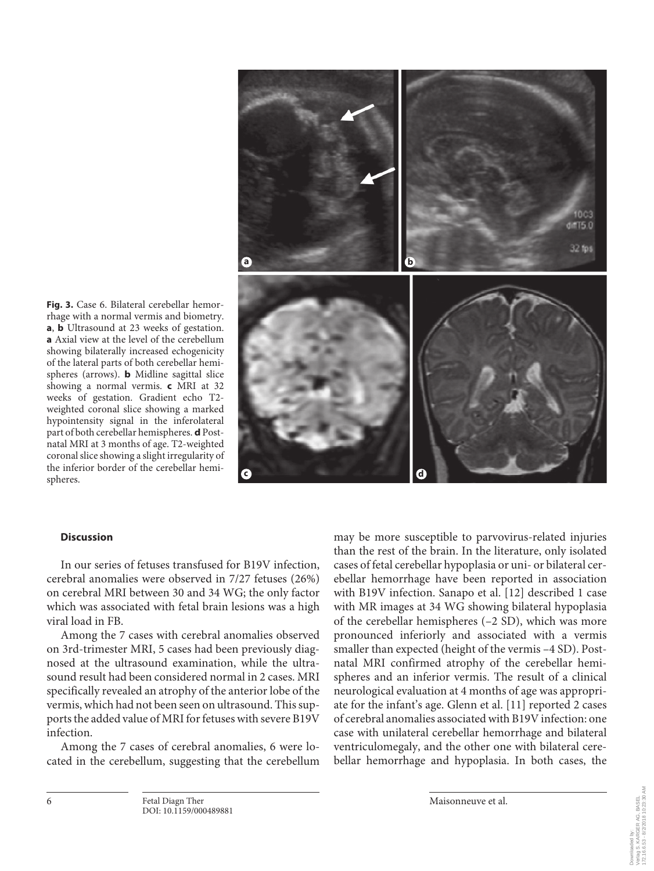

**Fig. 3.** Case 6. Bilateral cerebellar hemorrhage with a normal vermis and biometry. **a**, **b** Ultrasound at 23 weeks of gestation. **a** Axial view at the level of the cerebellum showing bilaterally increased echogenicity of the lateral parts of both cerebellar hemispheres (arrows). **b** Midline sagittal slice showing a normal vermis. **c** MRI at 32 weeks of gestation. Gradient echo T2 weighted coronal slice showing a marked hypointensity signal in the inferolateral part of both cerebellar hemispheres. **d** Postnatal MRI at 3 months of age. T2-weighted coronal slice showing a slight irregularity of the inferior border of the cerebellar hemispheres.

#### **Discussion**

In our series of fetuses transfused for B19V infection, cerebral anomalies were observed in 7/27 fetuses (26%) on cerebral MRI between 30 and 34 WG; the only factor which was associated with fetal brain lesions was a high viral load in FB.

Among the 7 cases with cerebral anomalies observed on 3rd-trimester MRI, 5 cases had been previously diagnosed at the ultrasound examination, while the ultrasound result had been considered normal in 2 cases. MRI specifically revealed an atrophy of the anterior lobe of the vermis, which had not been seen on ultrasound. This supports the added value of MRI for fetuses with severe B19V infection.

Among the 7 cases of cerebral anomalies, 6 were located in the cerebellum, suggesting that the cerebellum may be more susceptible to parvovirus-related injuries than the rest of the brain. In the literature, only isolated cases of fetal cerebellar hypoplasia or uni- or bilateral cerebellar hemorrhage have been reported in association with B19V infection. Sanapo et al. [12] described 1 case with MR images at 34 WG showing bilateral hypoplasia of the cerebellar hemispheres (–2 SD), which was more pronounced inferiorly and associated with a vermis smaller than expected (height of the vermis –4 SD). Postnatal MRI confirmed atrophy of the cerebellar hemispheres and an inferior vermis. The result of a clinical neurological evaluation at 4 months of age was appropriate for the infant's age. Glenn et al. [11] reported 2 cases of cerebral anomalies associated with B19V infection: one case with unilateral cerebellar hemorrhage and bilateral ventriculomegaly, and the other one with bilateral cerebellar hemorrhage and hypoplasia. In both cases, the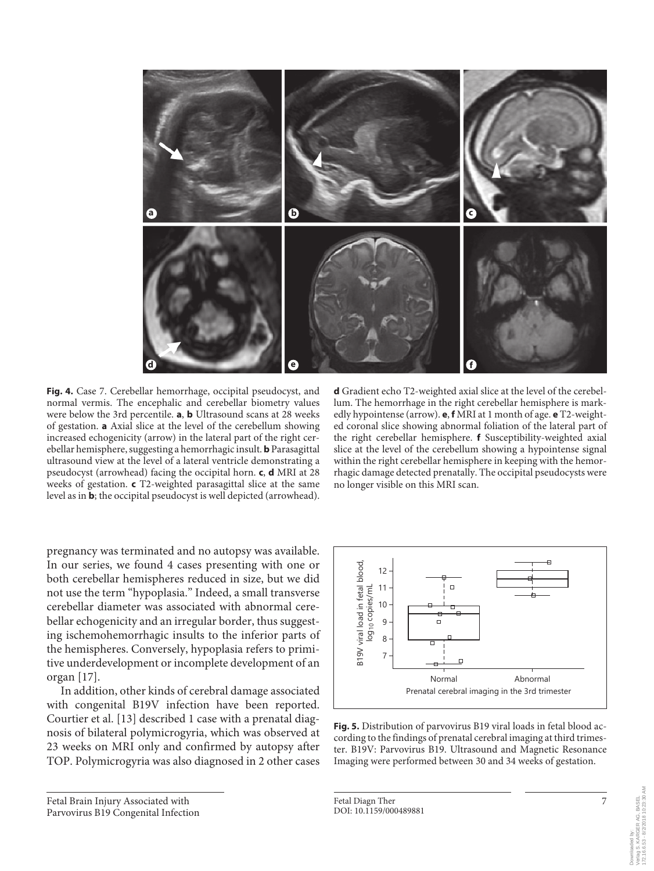

**Fig. 4.** Case 7. Cerebellar hemorrhage, occipital pseudocyst, and normal vermis. The encephalic and cerebellar biometry values were below the 3rd percentile. **a**, **b** Ultrasound scans at 28 weeks of gestation. **a** Axial slice at the level of the cerebellum showing increased echogenicity (arrow) in the lateral part of the right cerebellar hemisphere, suggesting a hemorrhagic insult. **b** Parasagittal ultrasound view at the level of a lateral ventricle demonstrating a pseudocyst (arrowhead) facing the occipital horn. **c**, **d** MRI at 28 weeks of gestation. **c** T2-weighted parasagittal slice at the same level as in **b**; the occipital pseudocyst is well depicted (arrowhead).

pregnancy was terminated and no autopsy was available. In our series, we found 4 cases presenting with one or both cerebellar hemispheres reduced in size, but we did not use the term "hypoplasia." Indeed, a small transverse cerebellar diameter was associated with abnormal cerebellar echogenicity and an irregular border, thus suggesting ischemohemorrhagic insults to the inferior parts of the hemispheres. Conversely, hypoplasia refers to primitive underdevelopment or incomplete development of an organ [17].

In addition, other kinds of cerebral damage associated with congenital B19V infection have been reported. Courtier et al. [13] described 1 case with a prenatal diagnosis of bilateral polymicrogyria, which was observed at 23 weeks on MRI only and confirmed by autopsy after TOP. Polymicrogyria was also diagnosed in 2 other cases

Fetal Brain Injury Associated with Parvovirus B19 Congenital Infection **d** Gradient echo T2-weighted axial slice at the level of the cerebellum. The hemorrhage in the right cerebellar hemisphere is markedly hypointense (arrow). **e**, **f** MRI at 1 month of age. **e** T2-weighted coronal slice showing abnormal foliation of the lateral part of the right cerebellar hemisphere. **f** Susceptibility-weighted axial slice at the level of the cerebellum showing a hypointense signal within the right cerebellar hemisphere in keeping with the hemorrhagic damage detected prenatally. The occipital pseudocysts were no longer visible on this MRI scan.



**Fig. 5.** Distribution of parvovirus B19 viral loads in fetal blood according to the findings of prenatal cerebral imaging at third trimester. B19V: Parvovirus B19. Ultrasound and Magnetic Resonance Imaging were performed between 30 and 34 weeks of gestation.

Fetal Diagn Ther 7 DOI: 10.1159/000489881

Downloaded by: Verlag S. KARGER AG, BASEL 172.16.6.53 - 8/2/2018 10:23:30 AM

erlag S. KARGER AG, BASEL<br>72.16.6.53 - 8/2/2018 10:23:30 AM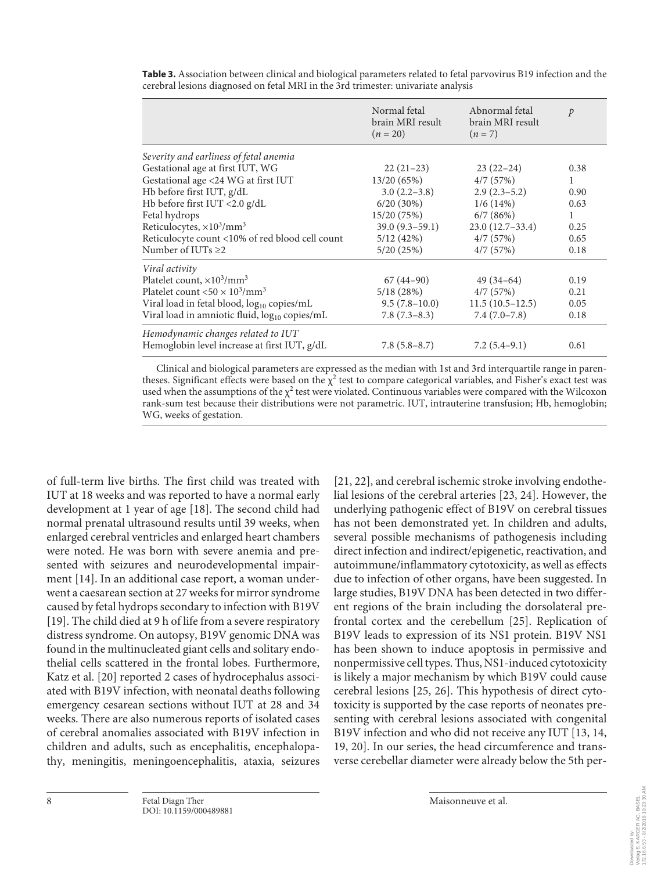|                                                                 | Normal fetal<br>brain MRI result<br>$(n = 20)$ | Abnormal fetal<br>brain MRI result<br>$(n=7)$ | $\mathcal{P}$ |
|-----------------------------------------------------------------|------------------------------------------------|-----------------------------------------------|---------------|
| Severity and earliness of fetal anemia                          |                                                |                                               |               |
| Gestational age at first IUT, WG                                | $22(21-23)$                                    | $23(22-24)$                                   | 0.38          |
| Gestational age <24 WG at first IUT                             | 13/20 (65%)                                    | 4/7(57%)                                      | $\mathbf{1}$  |
| Hb before first IUT, g/dL                                       | $3.0(2.2-3.8)$                                 | $2.9(2.3-5.2)$                                | 0.90          |
| Hb before first IUT <2.0 g/dL                                   | $6/20(30\%)$                                   | 1/6(14%)                                      | 0.63          |
| Fetal hydrops                                                   | 15/20 (75%)                                    | 6/7(86%)                                      | $\mathbf{1}$  |
| Reticulocytes, $\times 10^3/\text{mm}^3$                        | $39.0(9.3-59.1)$                               | $23.0(12.7-33.4)$                             | 0.25          |
| Reticulocyte count <10% of red blood cell count                 | 5/12(42%)                                      | 4/7(57%)                                      | 0.65          |
| Number of IUTs $\geq$ 2                                         | 5/20(25%)                                      | 4/7(57%)                                      | 0.18          |
| Viral activity                                                  |                                                |                                               |               |
| Platelet count, $\times 10^3/\text{mm}^3$                       | $67(44-90)$                                    | $49(34-64)$                                   | 0.19          |
| Platelet count $<$ 50 $\times$ 10 <sup>3</sup> /mm <sup>3</sup> | 5/18(28%)                                      | 4/7(57%)                                      | 0.21          |
| Viral load in fetal blood, log <sub>10</sub> copies/mL          | $9.5(7.8-10.0)$                                | $11.5(10.5-12.5)$                             | 0.05          |
| Viral load in amniotic fluid, log <sub>10</sub> copies/mL       | $7.8(7.3-8.3)$                                 | $7.4(7.0-7.8)$                                | 0.18          |
| Hemodynamic changes related to IUT                              |                                                |                                               |               |
| Hemoglobin level increase at first IUT, g/dL                    | $7.8(5.8-8.7)$                                 | $7.2(5.4-9.1)$                                | 0.61          |
|                                                                 |                                                |                                               |               |

**Table 3.** Association between clinical and biological parameters related to fetal parvovirus B19 infection and the cerebral lesions diagnosed on fetal MRI in the 3rd trimester: univariate analysis

Clinical and biological parameters are expressed as the median with 1st and 3rd interquartile range in parentheses. Significant effects were based on the  $\chi^2$  test to compare categorical variables, and Fisher's exact test was used when the assumptions of the  $\chi^2$  test were violated. Continuous variables were compared with the Wilcoxon rank-sum test because their distributions were not parametric. IUT, intrauterine transfusion; Hb, hemoglobin; WG, weeks of gestation.

of full-term live births. The first child was treated with IUT at 18 weeks and was reported to have a normal early development at 1 year of age [18]. The second child had normal prenatal ultrasound results until 39 weeks, when enlarged cerebral ventricles and enlarged heart chambers were noted. He was born with severe anemia and presented with seizures and neurodevelopmental impairment [14]. In an additional case report, a woman underwent a caesarean section at 27 weeks for mirror syndrome caused by fetal hydrops secondary to infection with B19V [19]. The child died at 9 h of life from a severe respiratory distress syndrome. On autopsy, B19V genomic DNA was found in the multinucleated giant cells and solitary endothelial cells scattered in the frontal lobes. Furthermore, Katz et al. [20] reported 2 cases of hydrocephalus associated with B19V infection, with neonatal deaths following emergency cesarean sections without IUT at 28 and 34 weeks. There are also numerous reports of isolated cases of cerebral anomalies associated with B19V infection in children and adults, such as encephalitis, encephalopathy, meningitis, meningoencephalitis, ataxia, seizures

[21, 22], and cerebral ischemic stroke involving endothelial lesions of the cerebral arteries [23, 24]. However, the underlying pathogenic effect of B19V on cerebral tissues has not been demonstrated yet. In children and adults, several possible mechanisms of pathogenesis including direct infection and indirect/epigenetic, reactivation, and autoimmune/inflammatory cytotoxicity, as well as effects due to infection of other organs, have been suggested. In large studies, B19V DNA has been detected in two different regions of the brain including the dorsolateral prefrontal cortex and the cerebellum [25]. Replication of B19V leads to expression of its NS1 protein. B19V NS1 has been shown to induce apoptosis in permissive and nonpermissive cell types. Thus, NS1-induced cytotoxicity is likely a major mechanism by which B19V could cause cerebral lesions [25, 26]. This hypothesis of direct cytotoxicity is supported by the case reports of neonates presenting with cerebral lesions associated with congenital B19V infection and who did not receive any IUT [13, 14, 19, 20]. In our series, the head circumference and transverse cerebellar diameter were already below the 5th per-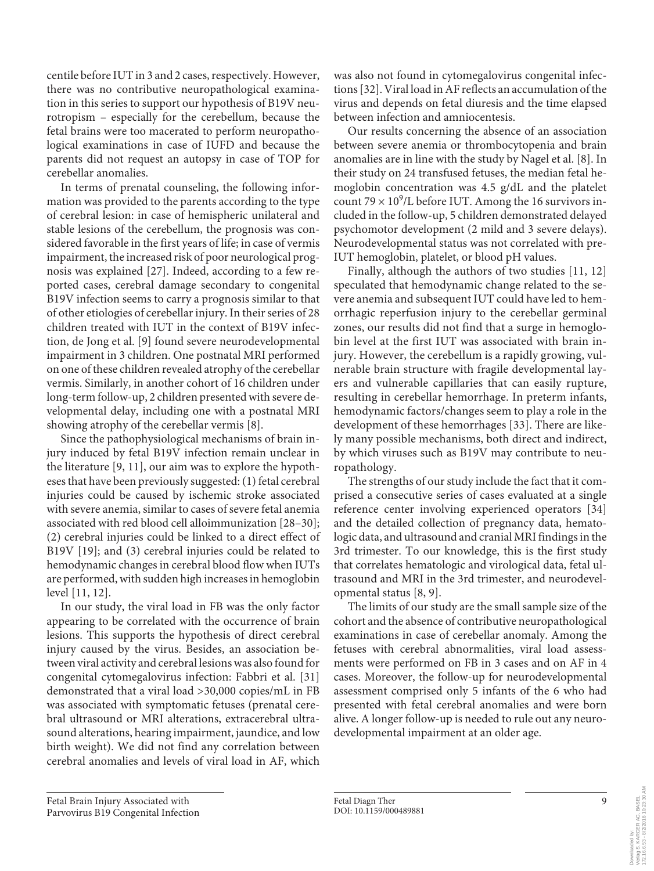centile before IUT in 3 and 2 cases, respectively. However, there was no contributive neuropathological examination in this series to support our hypothesis of B19V neurotropism – especially for the cerebellum, because the fetal brains were too macerated to perform neuropathological examinations in case of IUFD and because the parents did not request an autopsy in case of TOP for cerebellar anomalies.

In terms of prenatal counseling, the following information was provided to the parents according to the type of cerebral lesion: in case of hemispheric unilateral and stable lesions of the cerebellum, the prognosis was considered favorable in the first years of life; in case of vermis impairment, the increased risk of poor neurological prognosis was explained [27]. Indeed, according to a few reported cases, cerebral damage secondary to congenital B19V infection seems to carry a prognosis similar to that of other etiologies of cerebellar injury. In their series of 28 children treated with IUT in the context of B19V infection, de Jong et al. [9] found severe neurodevelopmental impairment in 3 children. One postnatal MRI performed on one of these children revealed atrophy of the cerebellar vermis. Similarly, in another cohort of 16 children under long-term follow-up, 2 children presented with severe developmental delay, including one with a postnatal MRI showing atrophy of the cerebellar vermis [8].

Since the pathophysiological mechanisms of brain injury induced by fetal B19V infection remain unclear in the literature [9, 11], our aim was to explore the hypotheses that have been previously suggested: (1) fetal cerebral injuries could be caused by ischemic stroke associated with severe anemia, similar to cases of severe fetal anemia associated with red blood cell alloimmunization [28–30]; (2) cerebral injuries could be linked to a direct effect of B19V [19]; and (3) cerebral injuries could be related to hemodynamic changes in cerebral blood flow when IUTs are performed, with sudden high increases in hemoglobin level [11, 12].

In our study, the viral load in FB was the only factor appearing to be correlated with the occurrence of brain lesions. This supports the hypothesis of direct cerebral injury caused by the virus. Besides, an association between viral activity and cerebral lesions was also found for congenital cytomegalovirus infection: Fabbri et al. [31] demonstrated that a viral load >30,000 copies/mL in FB was associated with symptomatic fetuses (prenatal cerebral ultrasound or MRI alterations, extracerebral ultrasound alterations, hearing impairment, jaundice, and low birth weight). We did not find any correlation between cerebral anomalies and levels of viral load in AF, which

was also not found in cytomegalovirus congenital infections [32]. Viral load in AF reflects an accumulation of the virus and depends on fetal diuresis and the time elapsed between infection and amniocentesis.

Our results concerning the absence of an association between severe anemia or thrombocytopenia and brain anomalies are in line with the study by Nagel et al. [8]. In their study on 24 transfused fetuses, the median fetal hemoglobin concentration was 4.5 g/dL and the platelet count  $79 \times 10^9$ /L before IUT. Among the 16 survivors included in the follow-up, 5 children demonstrated delayed psychomotor development (2 mild and 3 severe delays). Neurodevelopmental status was not correlated with pre-IUT hemoglobin, platelet, or blood pH values.

Finally, although the authors of two studies [11, 12] speculated that hemodynamic change related to the severe anemia and subsequent IUT could have led to hemorrhagic reperfusion injury to the cerebellar germinal zones, our results did not find that a surge in hemoglobin level at the first IUT was associated with brain injury. However, the cerebellum is a rapidly growing, vulnerable brain structure with fragile developmental layers and vulnerable capillaries that can easily rupture, resulting in cerebellar hemorrhage. In preterm infants, hemodynamic factors/changes seem to play a role in the development of these hemorrhages [33]. There are likely many possible mechanisms, both direct and indirect, by which viruses such as B19V may contribute to neuropathology.

The strengths of our study include the fact that it comprised a consecutive series of cases evaluated at a single reference center involving experienced operators [34] and the detailed collection of pregnancy data, hematologic data, and ultrasound and cranial MRI findings in the 3rd trimester. To our knowledge, this is the first study that correlates hematologic and virological data, fetal ultrasound and MRI in the 3rd trimester, and neurodevelopmental status [8, 9].

The limits of our study are the small sample size of the cohort and the absence of contributive neuropathological examinations in case of cerebellar anomaly. Among the fetuses with cerebral abnormalities, viral load assessments were performed on FB in 3 cases and on AF in 4 cases. Moreover, the follow-up for neurodevelopmental assessment comprised only 5 infants of the 6 who had presented with fetal cerebral anomalies and were born alive. A longer follow-up is needed to rule out any neurodevelopmental impairment at an older age.

172.16.6.53 - 8/2/2018 10:23:30 AM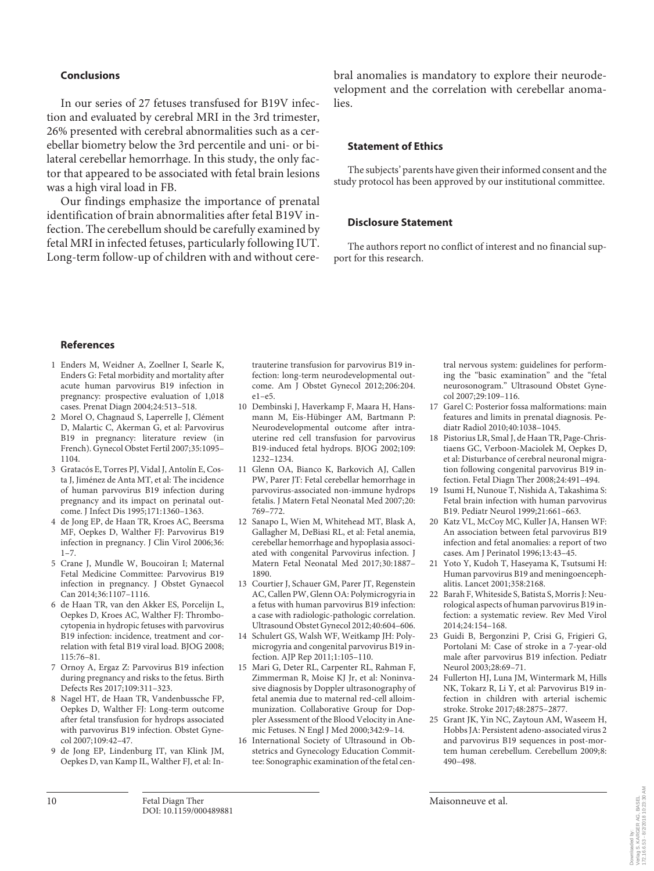#### **Conclusions**

In our series of 27 fetuses transfused for B19V infection and evaluated by cerebral MRI in the 3rd trimester, 26% presented with cerebral abnormalities such as a cerebellar biometry below the 3rd percentile and uni- or bilateral cerebellar hemorrhage. In this study, the only factor that appeared to be associated with fetal brain lesions was a high viral load in FB.

Our findings emphasize the importance of prenatal identification of brain abnormalities after fetal B19V infection. The cerebellum should be carefully examined by fetal MRI in infected fetuses, particularly following IUT. Long-term follow-up of children with and without cerebral anomalies is mandatory to explore their neurodevelopment and the correlation with cerebellar anomalies.

#### **Statement of Ethics**

The subjects' parents have given their informed consent and the study protocol has been approved by our institutional committee.

#### **Disclosure Statement**

The authors report no conflict of interest and no financial support for this research.

#### **References**

- 1 Enders M, Weidner A, Zoellner I, Searle K, Enders G: Fetal morbidity and mortality after acute human parvovirus B19 infection in pregnancy: prospective evaluation of 1,018 cases. Prenat Diagn 2004;24:513–518.
- 2 Morel O, Chagnaud S, Laperrelle J, Clément D, Malartic C, Akerman G, et al: Parvovirus B19 in pregnancy: literature review (in French). Gynecol Obstet Fertil 2007;35:1095– 1104.
- 3 Gratacós E, Torres PJ, Vidal J, Antolín E, Costa J, Jiménez de Anta MT, et al: The incidence of human parvovirus B19 infection during pregnancy and its impact on perinatal outcome. J Infect Dis 1995;171:1360–1363.
- 4 de Jong EP, de Haan TR, Kroes AC, Beersma MF, Oepkes D, Walther FJ: Parvovirus B19 infection in pregnancy. J Clin Virol 2006;36:  $1 - 7$ .
- 5 Crane J, Mundle W, Boucoiran I; Maternal Fetal Medicine Committee: Parvovirus B19 infection in pregnancy. J Obstet Gynaecol Can 2014;36:1107–1116.
- 6 de Haan TR, van den Akker ES, Porcelijn L, Oepkes D, Kroes AC, Walther FJ: Thrombocytopenia in hydropic fetuses with parvovirus B19 infection: incidence, treatment and correlation with fetal B19 viral load. BJOG 2008; 115:76–81.
- 7 Ornoy A, Ergaz Z: Parvovirus B19 infection during pregnancy and risks to the fetus. Birth Defects Res 2017;109:311–323.
- 8 Nagel HT, de Haan TR, Vandenbussche FP, Oepkes D, Walther FJ: Long-term outcome after fetal transfusion for hydrops associated with parvovirus B19 infection. Obstet Gynecol 2007;109:42–47.
- 9 de Jong EP, Lindenburg IT, van Klink JM, Oepkes D, van Kamp IL, Walther FJ, et al: In-

trauterine transfusion for parvovirus B19 infection: long-term neurodevelopmental outcome. Am J Obstet Gynecol 2012;206:204. e1–e5.

- 10 Dembinski J, Haverkamp F, Maara H, Hansmann M, Eis-Hübinger AM, Bartmann P: Neurodevelopmental outcome after intrauterine red cell transfusion for parvovirus B19-induced fetal hydrops. BJOG 2002;109: 1232–1234.
- 11 Glenn OA, Bianco K, Barkovich AJ, Callen PW, Parer JT: Fetal cerebellar hemorrhage in parvovirus-associated non-immune hydrops fetalis. J Matern Fetal Neonatal Med 2007;20: 769–772.
- 12 Sanapo L, Wien M, Whitehead MT, Blask A, Gallagher M, DeBiasi RL, et al: Fetal anemia, cerebellar hemorrhage and hypoplasia associated with congenital Parvovirus infection. J Matern Fetal Neonatal Med 2017;30:1887– 1890.
- 13 Courtier J, Schauer GM, Parer JT, Regenstein AC, Callen PW, Glenn OA: Polymicrogyria in a fetus with human parvovirus B19 infection: a case with radiologic-pathologic correlation. Ultrasound Obstet Gynecol 2012;40:604–606.
- 14 Schulert GS, Walsh WF, Weitkamp JH: Polymicrogyria and congenital parvovirus B19 infection. AJP Rep 2011;1:105–110.
- 15 Mari G, Deter RL, Carpenter RL, Rahman F, Zimmerman R, Moise KJ Jr, et al: Noninvasive diagnosis by Doppler ultrasonography of fetal anemia due to maternal red-cell alloimmunization. Collaborative Group for Doppler Assessment of the Blood Velocity in Anemic Fetuses. N Engl J Med 2000;342:9–14.
- 16 International Society of Ultrasound in Obstetrics and Gynecology Education Committee: Sonographic examination of the fetal cen-

tral nervous system: guidelines for performing the "basic examination" and the "fetal neurosonogram." Ultrasound Obstet Gynecol 2007;29:109–116.

- 17 Garel C: Posterior fossa malformations: main features and limits in prenatal diagnosis. Pediatr Radiol 2010;40:1038–1045.
- 18 Pistorius LR, Smal J, de Haan TR, Page-Christiaens GC, Verboon-Maciolek M, Oepkes D, et al: Disturbance of cerebral neuronal migration following congenital parvovirus B19 infection. Fetal Diagn Ther 2008;24:491–494.
- 19 Isumi H, Nunoue T, Nishida A, Takashima S: Fetal brain infection with human parvovirus B19. Pediatr Neurol 1999;21:661–663.
- 20 Katz VL, McCoy MC, Kuller JA, Hansen WF: An association between fetal parvovirus B19 infection and fetal anomalies: a report of two cases. Am J Perinatol 1996;13:43–45.
- Yoto Y, Kudoh T, Haseyama K, Tsutsumi H: Human parvovirus B19 and meningoencephalitis. Lancet 2001;358:2168.
- 22 Barah F, Whiteside S, Batista S, Morris J: Neurological aspects of human parvovirus B19 infection: a systematic review. Rev Med Virol 2014;24:154–168.
- 23 Guidi B, Bergonzini P, Crisi G, Frigieri G, Portolani M: Case of stroke in a 7-year-old male after parvovirus B19 infection. Pediatr Neurol 2003;28:69–71.
- 24 Fullerton HJ, Luna JM, Wintermark M, Hills NK, Tokarz R, Li Y, et al: Parvovirus B19 infection in children with arterial ischemic stroke. Stroke 2017;48:2875–2877.
- 25 Grant JK, Yin NC, Zaytoun AM, Waseem H, Hobbs JA: Persistent adeno-associated virus 2 and parvovirus B19 sequences in post-mortem human cerebellum. Cerebellum 2009;8: 490–498.